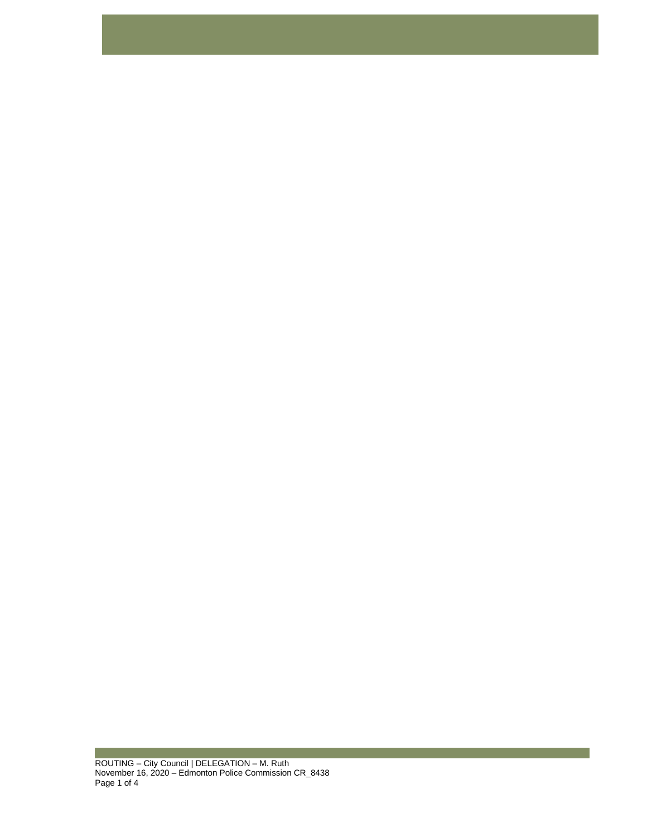#### ROUTING – City Council | DELEGATION – M. Ruth November 16, 2020 – Edmonton Police Commission CR\_8438 Page 1 of 4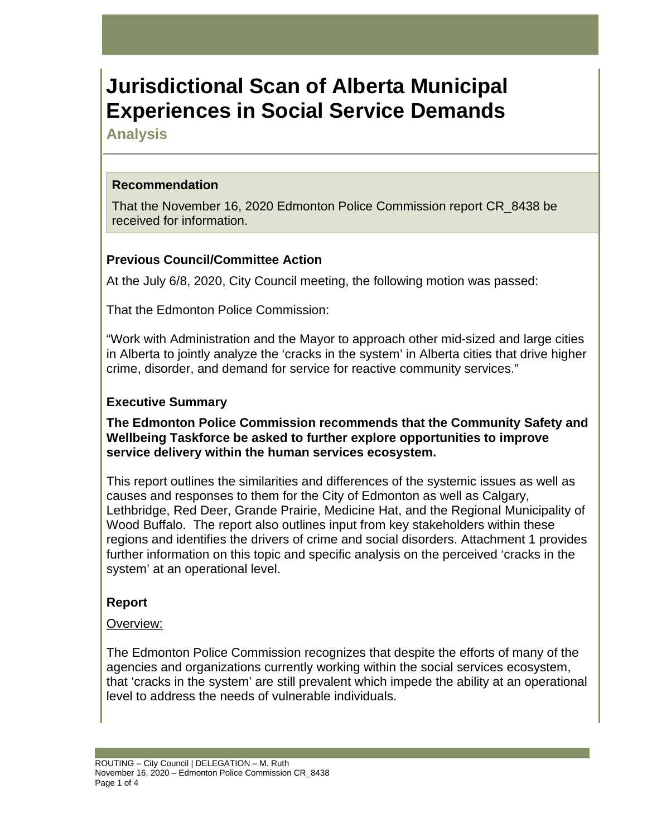# **Jurisdictional Scan of Alberta Municipal Experiences in Social Service Demands**

**Analysis**

### **Recommendation**

That the November 16, 2020 Edmonton Police Commission report CR\_8438 be received for information.

# **Previous Council/Committee Action**

At the July 6/8, 2020, City Council meeting, the following motion was passed:

That the Edmonton Police Commission:

"Work with Administration and the Mayor to approach other mid-sized and large cities in Alberta to jointly analyze the 'cracks in the system' in Alberta cities that drive higher crime, disorder, and demand for service for reactive community services."

# **Executive Summary**

**The Edmonton Police Commission recommends that the Community Safety and Wellbeing Taskforce be asked to further explore opportunities to improve service delivery within the human services ecosystem.**

This report outlines the similarities and differences of the systemic issues as well as causes and responses to them for the City of Edmonton as well as Calgary, Lethbridge, Red Deer, Grande Prairie, Medicine Hat, and the Regional Municipality of Wood Buffalo. The report also outlines input from key stakeholders within these regions and identifies the drivers of crime and social disorders. Attachment 1 provides further information on this topic and specific analysis on the perceived 'cracks in the system' at an operational level.

# **Report**

### Overview:

The Edmonton Police Commission recognizes that despite the efforts of many of the agencies and organizations currently working within the social services ecosystem, that 'cracks in the system' are still prevalent which impede the ability at an operational level to address the needs of vulnerable individuals.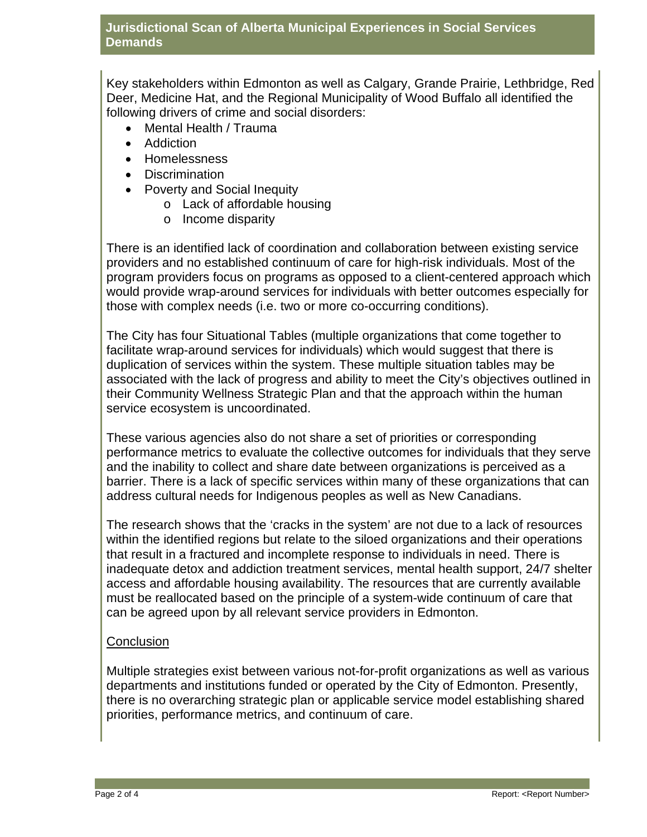#### **Jurisdictional Scan of Alberta Municipal Experiences in Social Services Demands**

Key stakeholders within Edmonton as well as Calgary, Grande Prairie, Lethbridge, Red Deer, Medicine Hat, and the Regional Municipality of Wood Buffalo all identified the following drivers of crime and social disorders:

- Mental Health / Trauma
- Addiction
- Homelessness
- Discrimination
- Poverty and Social Inequity
	- o Lack of affordable housing
	- o Income disparity

There is an identified lack of coordination and collaboration between existing service providers and no established continuum of care for high-risk individuals. Most of the program providers focus on programs as opposed to a client-centered approach which would provide wrap-around services for individuals with better outcomes especially for those with complex needs (i.e. two or more co-occurring conditions).

The City has four Situational Tables (multiple organizations that come together to facilitate wrap-around services for individuals) which would suggest that there is duplication of services within the system. These multiple situation tables may be associated with the lack of progress and ability to meet the City's objectives outlined in their Community Wellness Strategic Plan and that the approach within the human service ecosystem is uncoordinated.

These various agencies also do not share a set of priorities or corresponding performance metrics to evaluate the collective outcomes for individuals that they serve and the inability to collect and share date between organizations is perceived as a barrier. There is a lack of specific services within many of these organizations that can address cultural needs for Indigenous peoples as well as New Canadians.

The research shows that the 'cracks in the system' are not due to a lack of resources within the identified regions but relate to the siloed organizations and their operations that result in a fractured and incomplete response to individuals in need. There is inadequate detox and addiction treatment services, mental health support, 24/7 shelter access and affordable housing availability. The resources that are currently available must be reallocated based on the principle of a system-wide continuum of care that can be agreed upon by all relevant service providers in Edmonton.

# **Conclusion**

Multiple strategies exist between various not-for-profit organizations as well as various departments and institutions funded or operated by the City of Edmonton. Presently, there is no overarching strategic plan or applicable service model establishing shared priorities, performance metrics, and continuum of care.